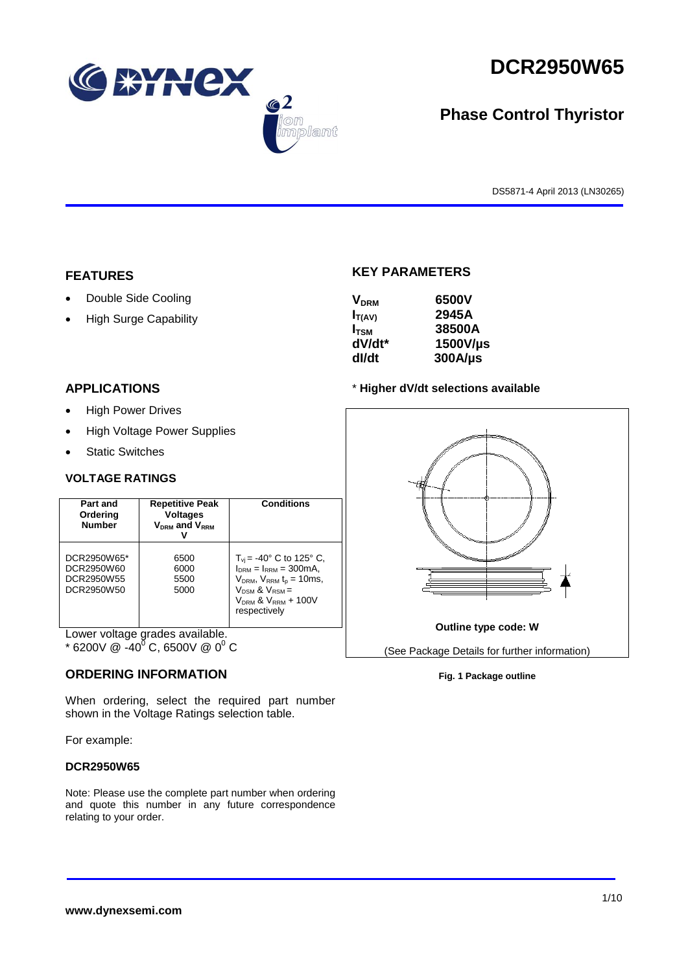



# **Phase Control Thyristor**

DS5871-4 April 2013 (LN30265)

## **FEATURES**

- Double Side Cooling
- High Surge Capability

## **APPLICATIONS**

- High Power Drives
- High Voltage Power Supplies
- Static Switches

## **VOLTAGE RATINGS**

| Part and<br>Ordering<br><b>Number</b>                 | <b>Repetitive Peak</b><br><b>Voltages</b><br>$V_{DRM}$ and $V_{RRM}$ | <b>Conditions</b>                                                                                                                                                                                |
|-------------------------------------------------------|----------------------------------------------------------------------|--------------------------------------------------------------------------------------------------------------------------------------------------------------------------------------------------|
| DCR2950W65*<br>DCR2950W60<br>DCR2950W55<br>DCR2950W50 | 6500<br>6000<br>5500<br>5000                                         | $T_{vi}$ = -40° C to 125° C,<br>$I_{DRM} = I_{RRM} = 300 \text{mA}$ ,<br>$V_{DRM}$ , $V_{RRM}$ t <sub>p</sub> = 10ms,<br>$V_{DSM}$ & $V_{RSM}$ =<br>$V_{DRM}$ & $V_{RRM}$ + 100V<br>respectively |

Lower voltage grades available.

 $*$  6200V @ -40<sup>0</sup> C, 6500V @ 0<sup>0</sup> C

## **ORDERING INFORMATION**

When ordering, select the required part number shown in the Voltage Ratings selection table.

For example:

## **DCR2950W65**

Note: Please use the complete part number when ordering and quote this number in any future correspondence relating to your order.

## **KEY PARAMETERS**

mplant

| <b>V<sub>DRM</sub></b> | 6500V        |
|------------------------|--------------|
| $I_{T(AV)}$            | 2945A        |
| I <sub>tsm</sub>       | 38500A       |
| dV/dt*                 | 1500V/µs     |
| dl/dt                  | $300A/\mu s$ |

### \* **Higher dV/dt selections available**



#### **Fig. 1 Package outline**

#### **www.dynexsemi.com**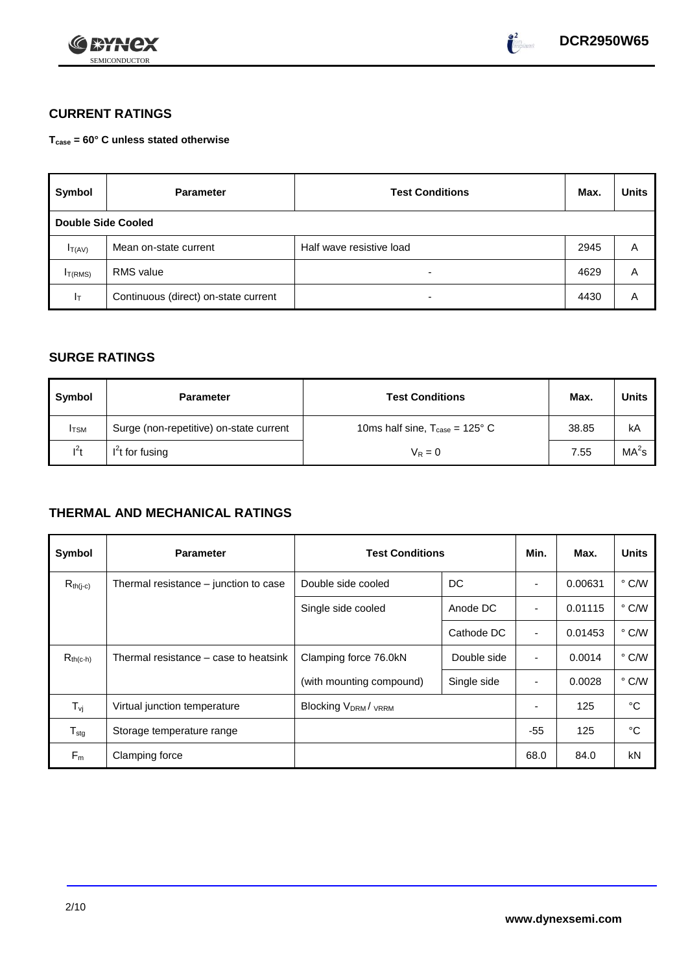



## **CURRENT RATINGS**

**Tcase = 60° C unless stated otherwise**

| Symbol                    | <b>Test Conditions</b><br><b>Parameter</b> |                          | Max. | <b>Units</b> |
|---------------------------|--------------------------------------------|--------------------------|------|--------------|
| <b>Double Side Cooled</b> |                                            |                          |      |              |
| $I_{T(AV)}$               | Mean on-state current                      | Half wave resistive load | 2945 | Α            |
| I <sub>T(RMS)</sub>       | <b>RMS</b> value                           | -                        | 4629 | Α            |
| $ _{\top}$                | Continuous (direct) on-state current       | -                        | 4430 | Α            |

## **SURGE RATINGS**

| Symbol       | <b>Parameter</b>                        | <b>Test Conditions</b>                            | Max.  | <b>Units</b>      |
|--------------|-----------------------------------------|---------------------------------------------------|-------|-------------------|
| <b>I</b> TSM | Surge (non-repetitive) on-state current | 10ms half sine, $T_{\text{case}} = 125^{\circ}$ C | 38.85 | kA                |
| $l^2t$       | $I2t$ for fusing                        | $V_R = 0$                                         | 7.55  | MA <sup>2</sup> s |

## **THERMAL AND MECHANICAL RATINGS**

| Symbol                     | <b>Parameter</b>                      | <b>Test Conditions</b>    |             | Min.           | Max.    | <b>Units</b>  |
|----------------------------|---------------------------------------|---------------------------|-------------|----------------|---------|---------------|
| $R_{th(j-c)}$              | Thermal resistance – junction to case | DC<br>Double side cooled  |             |                | 0.00631 | $\degree$ C/W |
|                            |                                       | Single side cooled        | Anode DC    |                | 0.01115 | $\degree$ C/W |
|                            |                                       |                           | Cathode DC  | $\blacksquare$ | 0.01453 | $\degree$ C/W |
| $R_{th(c-h)}$              | Thermal resistance – case to heatsink | Clamping force 76.0kN     | Double side | ٠              | 0.0014  | $\degree$ C/W |
|                            |                                       | (with mounting compound)  | Single side |                | 0.0028  | $\degree$ C/W |
| $T_{\nu j}$                | Virtual junction temperature          | <b>Blocking VDRM/VRRM</b> |             | ٠              | 125     | °C            |
| ${\mathsf T}_{\text{stg}}$ | Storage temperature range             |                           |             | $-55$          | 125     | °C            |
| $F_m$                      | Clamping force                        |                           |             | 68.0           | 84.0    | kN            |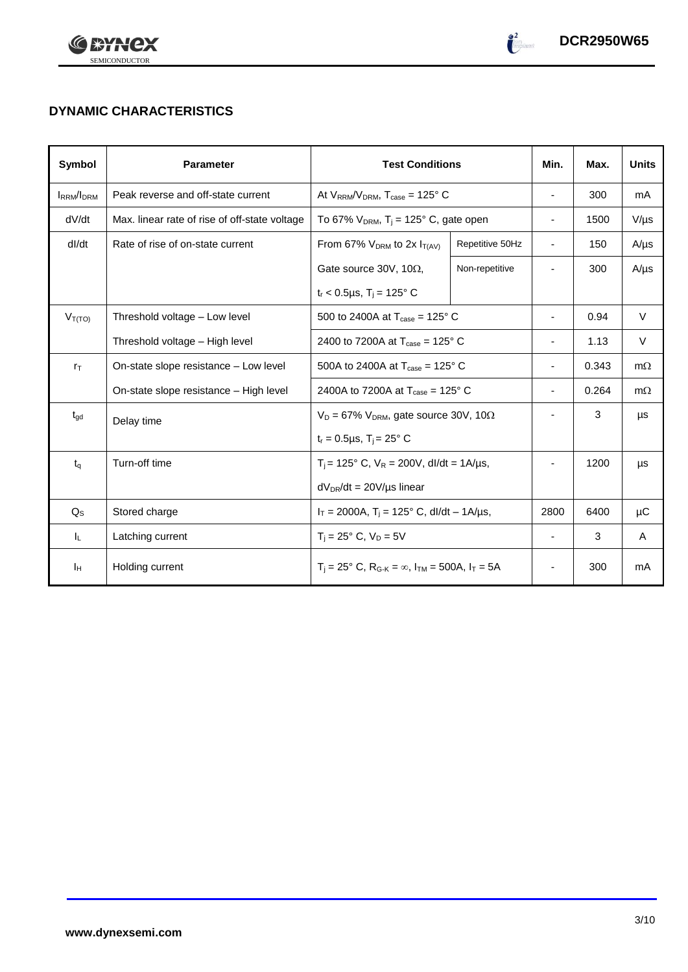



# **DYNAMIC CHARACTERISTICS**

| Symbol            | <b>Parameter</b>                                              | <b>Test Conditions</b>                                                                        |                 | Min.                     | Max.  | <b>Units</b> |
|-------------------|---------------------------------------------------------------|-----------------------------------------------------------------------------------------------|-----------------|--------------------------|-------|--------------|
| <b>IRRM</b> /IDRM | Peak reverse and off-state current                            | At $V_{RRM}/V_{DRM}$ , $T_{case} = 125^{\circ}$ C                                             |                 | $\overline{\phantom{a}}$ | 300   | mA           |
| dV/dt             | Max. linear rate of rise of off-state voltage                 | To 67% $V_{DRM}$ , T <sub>i</sub> = 125° C, gate open                                         |                 | $\overline{\phantom{a}}$ | 1500  | $V/\mu s$    |
| dl/dt             | Rate of rise of on-state current                              | From 67% $V_{DRM}$ to 2x $I_{T(AV)}$                                                          | Repetitive 50Hz | $\blacksquare$           | 150   | $A/\mu s$    |
|                   |                                                               | Gate source 30V, 10 $\Omega$ ,                                                                | Non-repetitive  |                          | 300   | $A/\mu s$    |
|                   |                                                               | $t_r$ < 0.5µs, T <sub>i</sub> = 125° C                                                        |                 |                          |       |              |
| $V_{T(TO)}$       | Threshold voltage - Low level                                 | 500 to 2400A at $T_{\text{case}} = 125^{\circ}$ C                                             |                 |                          | 0.94  | $\vee$       |
|                   | Threshold voltage - High level                                | 2400 to 7200A at $T_{\text{case}} = 125^{\circ}$ C                                            |                 | -                        | 1.13  | V            |
| $r_{\text{T}}$    | On-state slope resistance - Low level                         | 500A to 2400A at $T_{\text{case}} = 125^{\circ}$ C                                            |                 | $\overline{\phantom{0}}$ | 0.343 | $m\Omega$    |
|                   | On-state slope resistance - High level                        | 2400A to 7200A at $T_{\text{case}} = 125^{\circ}$ C                                           |                 | $\overline{\phantom{0}}$ | 0.264 | $m\Omega$    |
| $t_{\text{gd}}$   | Delay time                                                    | $V_D = 67\%$ V <sub>DRM</sub> , gate source 30V, 10 $\Omega$                                  |                 | $\overline{\phantom{a}}$ | 3     | μs           |
|                   |                                                               | $t_r = 0.5 \mu s$ , $T_i = 25^\circ C$                                                        |                 |                          |       |              |
| $t_{q}$           | Turn-off time<br>$T_i$ = 125° C, $V_R$ = 200V, dl/dt = 1A/µs, |                                                                                               |                 | 1200                     | μs    |              |
|                   |                                                               | $dV_{DR}/dt = 20V/\mu s$ linear                                                               |                 |                          |       |              |
| $Q_{\rm S}$       | Stored charge                                                 | $I_T = 2000A$ , $T_i = 125^\circ$ C, dl/dt - 1A/µs,                                           |                 | 2800                     | 6400  | μC           |
| IL.               | Latching current                                              | $T_i = 25^\circ \text{ C}, V_D = 5V$                                                          |                 | $\overline{\phantom{a}}$ | 3     | A            |
| Iн                | Holding current                                               | $T_i = 25^\circ$ C, R <sub>G-K</sub> = $\infty$ , I <sub>TM</sub> = 500A, I <sub>T</sub> = 5A |                 | $\overline{\phantom{a}}$ | 300   | mA           |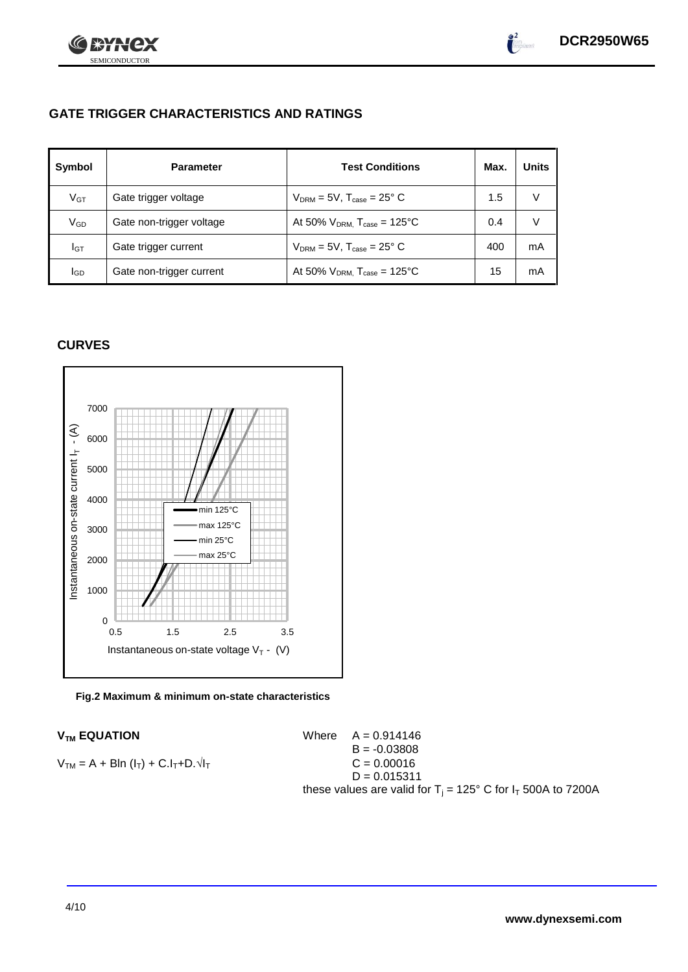

 $\int_{0}^{2}$ 

## **GATE TRIGGER CHARACTERISTICS AND RATINGS**

| Symbol          | <b>Parameter</b>         | <b>Test Conditions</b>                | Max. | <b>Units</b> |
|-----------------|--------------------------|---------------------------------------|------|--------------|
| $V$ GT          | Gate trigger voltage     | $V_{DRM}$ = 5V, $T_{case}$ = 25° C    | 1.5  | v            |
| $\rm V_{GD}$    | Gate non-trigger voltage | At 50% $V_{DRM}$ , $T_{case}$ = 125°C | 0.4  | V            |
| Iст             | Gate trigger current     | $V_{DRM}$ = 5V, $T_{case}$ = 25° C    | 400  | mA           |
| I <sub>GD</sub> | Gate non-trigger current | At 50% $V_{DRM}$ , $T_{case}$ = 125°C | 15   | mA           |

## **CURVES**

SEMICONDUCTOR

ני

**IXYH** 



### **Fig.2 Maximum & minimum on-state characteristics**

## **V<sub>TM</sub> EQUATION**

**V<sub>TM</sub> EQUATION**

\n**V<sub>TM</sub> = A + Bln (l<sub>T</sub>) + C.l<sub>T</sub>+D. 
$$
\sqrt{l}
$$**

\n**V<sub>TM</sub> = A + Bln (l<sub>T</sub>) + C.l<sub>T</sub>+D.  $\sqrt{l}$** 

\n**U<sub>MT</sub> = 0.03808**

\n**U<sub>T</sub> = 0.00016**

\n**U<sub>T</sub> = 0.015311**

\n**U<sub>TM</sub> = A + Bln (l<sub>T</sub>) + C.l<sub>T</sub>+D.  $\sqrt{l}$** 

\n**U<sub>T</sub> = 0.015311**

\n**U<sub>T</sub> = 125° C for l<sub>T</sub> 500A to 7200A**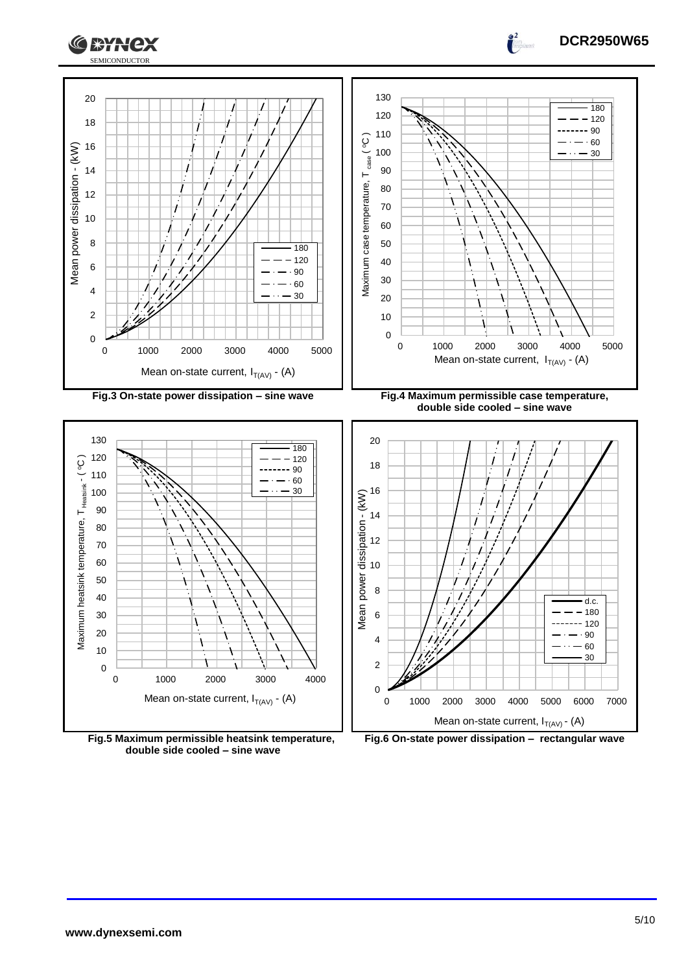



**Fig.5 Maximum permissible heatsink temperature, double side cooled – sine wave**



**DCR2950W65**

 $\frac{2}{\pi}$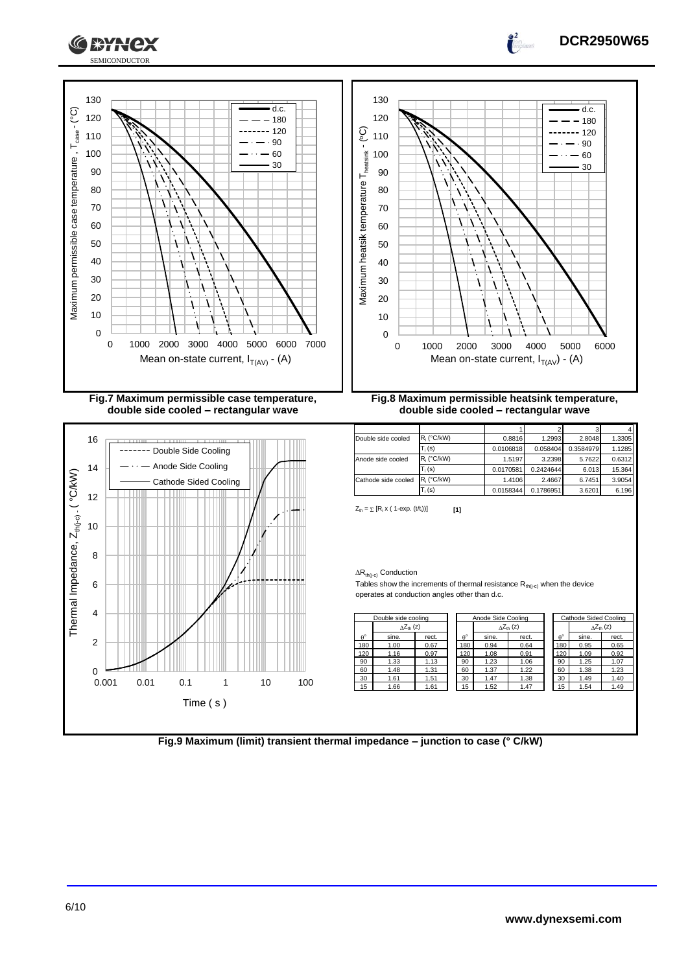





|                  | Anode Side Cooling<br>Double side cooling |       |             | Cathode Sided Cooling |       |             |       |                           |
|------------------|-------------------------------------------|-------|-------------|-----------------------|-------|-------------|-------|---------------------------|
|                  | $\Delta Z_{th}$ (z)                       |       |             | $\Delta Z_{th}$ (z)   |       |             |       | $\Delta Z_{\text{th}}(z)$ |
| $\theta^{\circ}$ | sine.                                     | rect. | $A^{\circ}$ | sine.                 | rect. | $A^{\circ}$ | sine. | rect.                     |
| 180              | 1.00                                      | 0.67  | 180         | 0.94                  | 0.64  | 180         | 0.95  | 0.65                      |
| 120              | 1.16                                      | 0.97  | 120         | 1.08                  | 0.91  | 120         | 1.09  | 0.92                      |
| 90               | 1.33                                      | 1.13  | 90          | 1.23                  | 1.06  | 90          | 1.25  | 1.07                      |
| 60               | 1.48                                      | 1.31  | 60          | 1.37                  | 1.22  | 60          | 1.38  | 1.23                      |
| 30               | 1.61                                      | 1.51  | 30          | 1.47                  | 1.38  | 30          | 1.49  | 1.40                      |
| 15               | 1.66                                      | 1.61  | 15          | 1.52                  | 1.47  | 15          | 1.54  | 1.49                      |
|                  |                                           |       |             |                       |       |             |       |                           |

**DCR2950W65**

**Fig.9 Maximum (limit) transient thermal impedance – junction to case (° C/kW)**

0

Time ( s )

2

4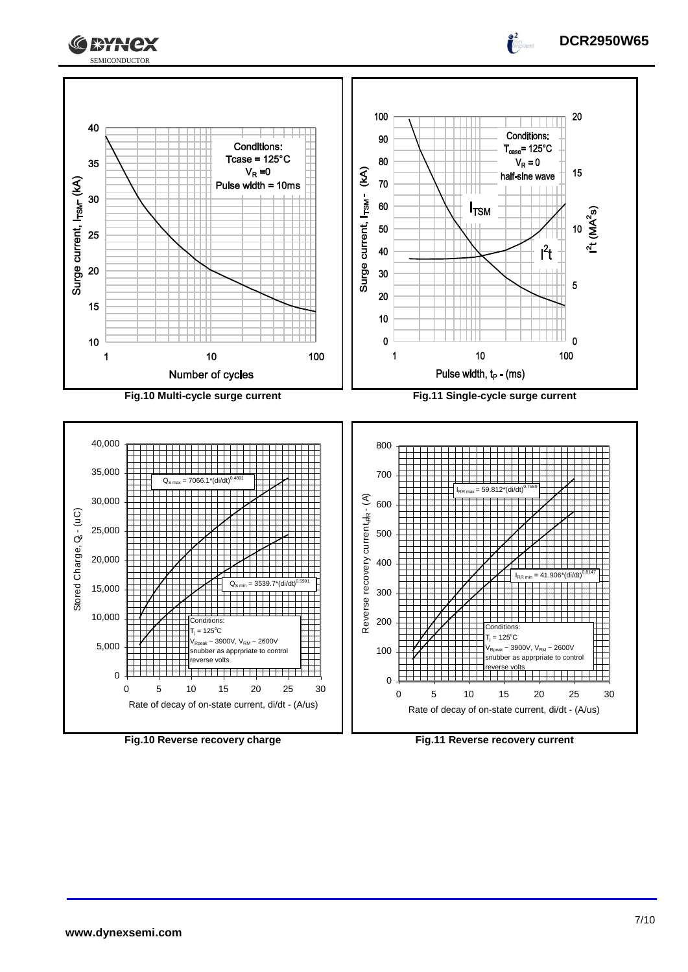



Rate of decay of on-state current, di/dt - (A/us)



Rate of decay of on-state current, di/dt - (A/us)

**DCR2950W65**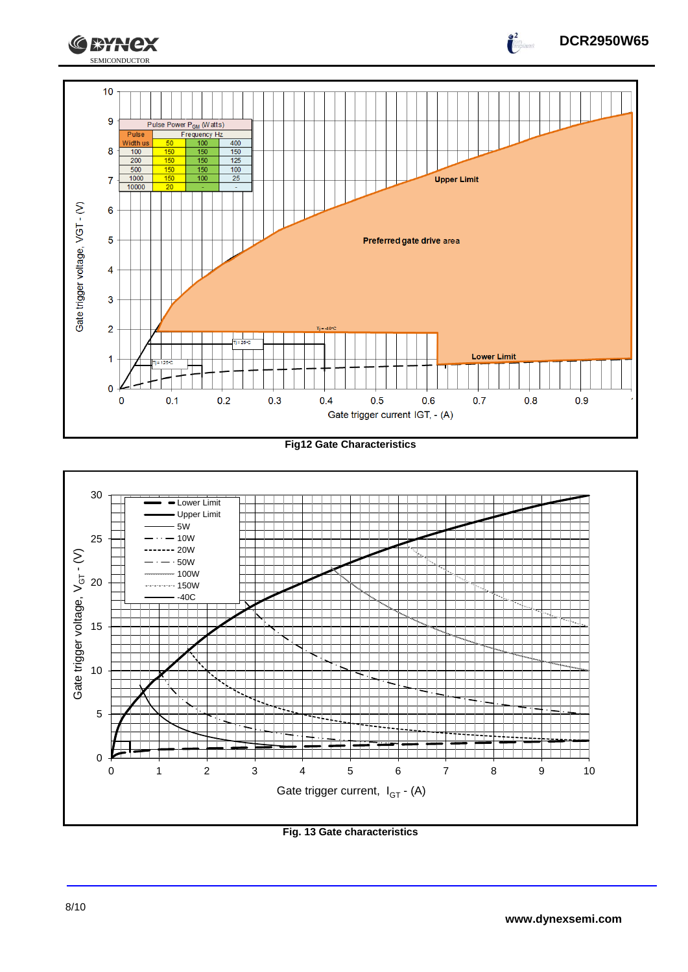

**Fig12 Gate Characteristics**



**Fig. 13 Gate characteristics**

**DCR2950W65**

 $\int_{0}^{2}$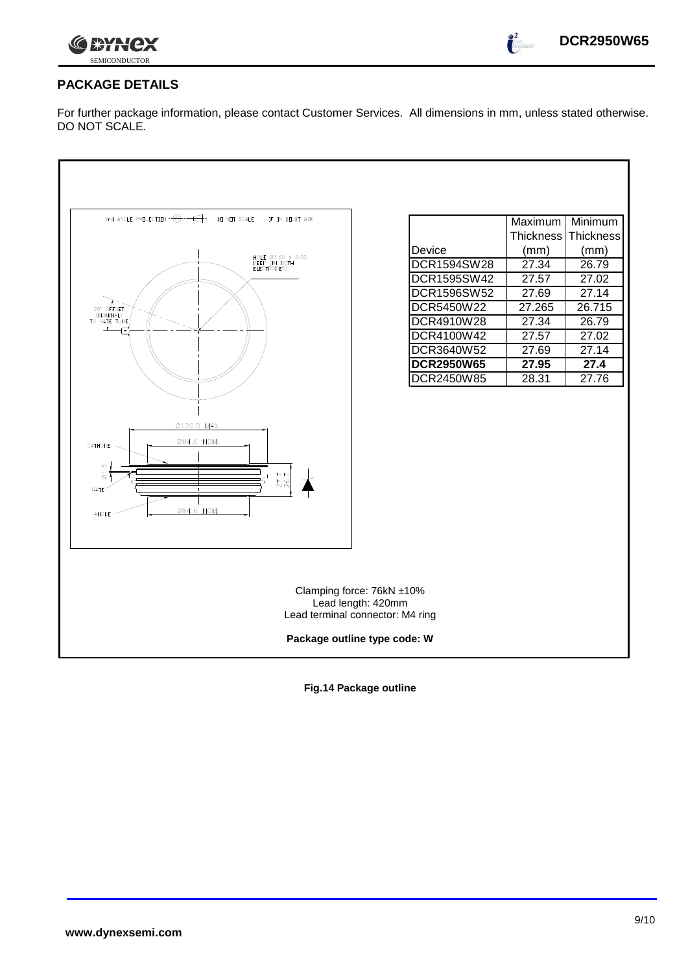

 $\bullet^2$ 

## **PACKAGE DETAILS**

For further package information, please contact Customer Services. All dimensions in mm, unless stated otherwise. DO NOT SCALE.

| 3rd ANGLE PREJECTION $-\bigodot -\bigodot$<br>DO NOT SCALE<br>IF IN DOUBT ASK                           |                                                                                                                     | Maximum          | Minimum   |
|---------------------------------------------------------------------------------------------------------|---------------------------------------------------------------------------------------------------------------------|------------------|-----------|
|                                                                                                         |                                                                                                                     | <b>Thickness</b> | Thickness |
|                                                                                                         | Device                                                                                                              | (mm)             | (mm)      |
| HOLE Ø3.60 X 2.00<br>DEEP (IN BOTH<br>ELECTRODES)                                                       | DCR1594SW28                                                                                                         | 27.34            | 26.79     |
|                                                                                                         | DCR1595SW42                                                                                                         | 27.57            | 27.02     |
|                                                                                                         | DCR1596SW52                                                                                                         | 27.69            | 27.14     |
| 20" OFFSET<br>(NOMINAL)                                                                                 | DCR5450W22                                                                                                          | 27.265           | 26.715    |
| TO GATE TUBE                                                                                            | <b>DCR4910W28</b>                                                                                                   | 27.34            | 26.79     |
| ᢛ                                                                                                       | DCR4100W42                                                                                                          | 27.57            | 27.02     |
|                                                                                                         | DCR3640W52                                                                                                          | 27.69            | 27.14     |
|                                                                                                         | <b>DCR2950W65</b>                                                                                                   | 27.95            | 27.4      |
|                                                                                                         | DCR2450W85                                                                                                          | 28.31            | 27.76     |
| Ø120.0 MAX.<br>084.6 NOM.<br>CATHODE<br>r.<br>$\overline{\omega}$<br>277<br>GATE<br>084.6 NOM.<br>ANODE |                                                                                                                     |                  |           |
|                                                                                                         | Clamping force: 76kN ±10%<br>Lead length: 420mm<br>Lead terminal connector: M4 ring<br>Package outline type code: W |                  |           |
|                                                                                                         |                                                                                                                     |                  |           |

**Fig.14 Package outline**